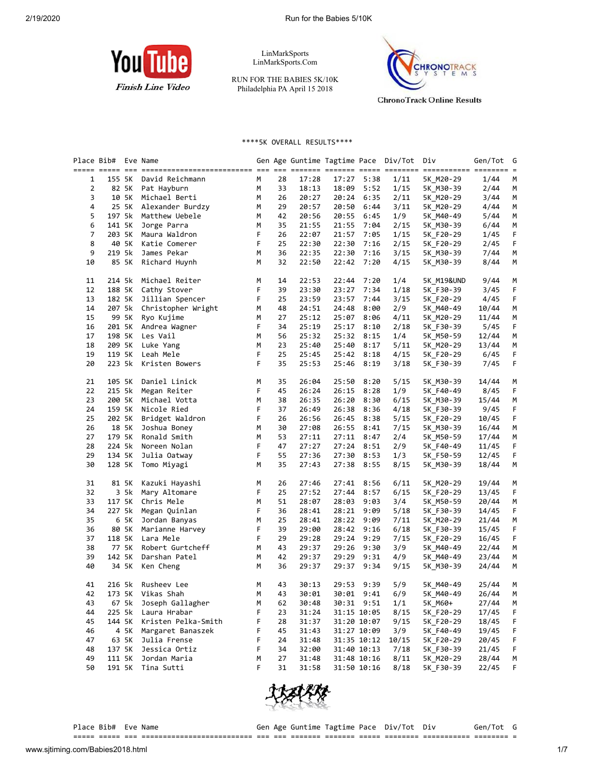

LinMarkSports LinMarkSports.Com

RUN FOR THE BABIES 5K/10K Philadelphia PA April 15 2018



\*\*\*\*5K OVERALL RESULTS\*\*\*\*

|    | Place Bib# |        | Eve Name                                                                                                         |   |    |       |       |             | Gen Age Guntime Tagtime Pace Div/Tot | Div        | Gen/Tot | G  |
|----|------------|--------|------------------------------------------------------------------------------------------------------------------|---|----|-------|-------|-------------|--------------------------------------|------------|---------|----|
|    |            |        | <u>sisti sitti 111 sittistististististististi 111 111 111 sittis 111111 11111 sittisti sittistist 11111111 s</u> |   |    |       |       |             |                                      |            |         |    |
| 1  |            | 155 5K | David Reichmann                                                                                                  | М | 28 | 17:28 | 17:27 | 5:38        | 1/11                                 | 5K M20-29  | 1/44    | M  |
| 2  |            | 82 5K  | Pat Hayburn                                                                                                      | М | 33 | 18:13 | 18:09 | 5:52        | 1/15                                 | 5K M30-39  | 2/44    | M  |
| 3  |            | 10 5K  | Michael Berti                                                                                                    | М | 26 | 20:27 | 20:24 | 6:35        | 2/11                                 | 5K_M20-29  | 3/44    | M  |
| 4  |            | 25 5K  | Alexander Burdzy                                                                                                 | М | 29 | 20:57 | 20:50 | 6:44        | 3/11                                 | 5K M20-29  | 4/44    | M  |
| 5  | 197 5k     |        | Matthew Uebele                                                                                                   | М | 42 | 20:56 | 20:55 | 6:45        | 1/9                                  | 5K M40-49  | 5/44    | M  |
| 6  | 141 5K     |        | Jorge Parra                                                                                                      | М | 35 | 21:55 | 21:55 | 7:04        | 2/15                                 | 5K M30-39  | 6/44    | M  |
| 7  |            | 203 5K | Maura Waldron                                                                                                    | F | 26 | 22:07 | 21:57 | 7:05        | 1/15                                 | 5K F20-29  | 1/45    | F  |
| 8  |            | 40 5K  | Katie Comerer                                                                                                    | F | 25 | 22:30 | 22:30 | 7:16        | 2/15                                 | 5K F20-29  | 2/45    | F  |
| 9  | 219 5k     |        | James Pekar                                                                                                      | М | 36 | 22:35 | 22:30 | 7:16        | 3/15                                 | 5K M30-39  | 7/44    | M  |
| 10 |            | 85 5K  | Richard Huynh                                                                                                    | М | 32 | 22:50 | 22:42 | 7:20        | 4/15                                 | 5K M30-39  | 8/44    | М  |
| 11 | 214 5k     |        | Michael Reiter                                                                                                   | М | 14 | 22:53 | 22:44 | 7:20        | 1/4                                  | 5K_M19&UND | 9/44    | M  |
| 12 | 188 5K     |        | Cathy Stover                                                                                                     | F | 39 | 23:30 | 23:27 | 7:34        | 1/18                                 | 5K F30-39  | 3/45    | F  |
| 13 | 182 5K     |        | Jillian Spencer                                                                                                  | F | 25 | 23:59 | 23:57 | 7:44        | 3/15                                 | 5K F20-29  | 4/45    | F. |
| 14 | 207 5k     |        | Christopher Wright                                                                                               | М | 48 | 24:51 | 24:48 | 8:00        | 2/9                                  | 5K_M40-49  | 10/44   | M  |
| 15 |            | 99 5K  | Ryo Kujime                                                                                                       | М | 27 | 25:12 | 25:07 | 8:06        | 4/11                                 | 5K M20-29  | 11/44   | M  |
| 16 | 201 5K     |        | Andrea Wagner                                                                                                    | F | 34 | 25:19 | 25:17 | 8:10        | 2/18                                 | 5K F30-39  | 5/45    | F. |
| 17 | 198 5K     |        | Les Vail                                                                                                         | М | 56 | 25:32 | 25:32 | 8:15        | 1/4                                  | 5K_M50-59  | 12/44   | M  |
| 18 | 209 5K     |        | Luke Yang                                                                                                        | М | 23 | 25:40 | 25:40 | 8:17        | 5/11                                 | 5K_M20-29  | 13/44   | M  |
| 19 | 119 5K     |        | Leah Mele                                                                                                        | F | 25 | 25:45 | 25:42 | 8:18        | 4/15                                 | 5K F20-29  | 6/45    | F  |
| 20 | 223 5k     |        | Kristen Bowers                                                                                                   | F | 35 | 25:53 | 25:46 | 8:19        | 3/18                                 | 5K_F30-39  | 7/45    | F. |
| 21 | 105 5K     |        | Daniel Linick                                                                                                    | М | 35 | 26:04 | 25:50 | 8:20        | 5/15                                 | 5K M30-39  | 14/44   | М  |
| 22 | 215 5k     |        | Megan Reiter                                                                                                     | F | 45 | 26:24 | 26:15 | 8:28        | 1/9                                  | 5K F40-49  | 8/45    | F  |
| 23 | 200 5K     |        | Michael Votta                                                                                                    | М | 38 | 26:35 | 26:20 | 8:30        | 6/15                                 | 5K M30-39  | 15/44   | M  |
| 24 | 159 5K     |        | Nicole Ried                                                                                                      | F | 37 | 26:49 | 26:38 | 8:36        | 4/18                                 | 5K F30-39  | 9/45    | F  |
| 25 | 202 5K     |        | Bridget Waldron                                                                                                  | F | 26 | 26:56 | 26:45 | 8:38        | 5/15                                 | 5K F20-29  | 10/45   | F. |
| 26 |            | 18 5K  | Joshua Boney                                                                                                     | М | 30 | 27:08 | 26:55 | 8:41        | 7/15                                 | 5K_M30-39  | 16/44   | М  |
| 27 | 179 5K     |        | Ronald Smith                                                                                                     | М | 53 | 27:11 | 27:11 | 8:47        | 2/4                                  | 5K_M50-59  | 17/44   | M  |
| 28 | 224 5k     |        | Noreen Nolan                                                                                                     | F | 47 | 27:27 | 27:24 | 8:51        | 2/9                                  | 5K_F40-49  | 11/45   | F  |
| 29 | 134 5K     |        | Julia Oatway                                                                                                     | F | 55 | 27:36 | 27:30 | 8:53        | 1/3                                  | 5K F50-59  | 12/45   | F  |
| 30 | 128 5K     |        | Tomo Miyagi                                                                                                      | М | 35 | 27:43 | 27:38 | 8:55        | 8/15                                 | 5K_M30-39  | 18/44   | M  |
| 31 |            | 81 5K  | Kazuki Hayashi                                                                                                   | М | 26 | 27:46 | 27:41 | 8:56        | 6/11                                 | 5K M20-29  | 19/44   | M  |
| 32 |            | 3 5k   | Mary Altomare                                                                                                    | F | 25 | 27:52 | 27:44 | 8:57        | 6/15                                 | 5K F20-29  | 13/45   | F  |
| 33 | 117 5K     |        | Chris Mele                                                                                                       | М | 51 | 28:07 | 28:03 | 9:03        | 3/4                                  | 5K_M50-59  | 20/44   | M  |
| 34 | 227 5k     |        | Megan Quinlan                                                                                                    | F | 36 | 28:41 | 28:21 | 9:09        | 5/18                                 | 5K F30-39  | 14/45   | F  |
| 35 |            | 6 5K   | Jordan Banyas                                                                                                    | М | 25 | 28:41 | 28:22 | 9:09        | 7/11                                 | 5K_M20-29  | 21/44   | M  |
| 36 |            | 80 5K  | Marianne Harvey                                                                                                  | F | 39 | 29:00 | 28:42 | 9:16        | 6/18                                 | 5K F30-39  | 15/45   | F  |
| 37 | 118 5K     |        | Lara Mele                                                                                                        | F | 29 | 29:28 | 29:24 | 9:29        | 7/15                                 | 5K F20-29  | 16/45   | F. |
| 38 |            | 77 5K  | Robert Gurtcheff                                                                                                 | М | 43 | 29:37 | 29:26 | 9:30        | 3/9                                  | 5K_M40-49  | 22/44   | М  |
| 39 | 142 5K     |        | Darshan Patel                                                                                                    | М | 42 | 29:37 | 29:29 | 9:31        | 4/9                                  | 5K_M40-49  | 23/44   | М  |
| 40 |            | 34 5K  | Ken Cheng                                                                                                        | М | 36 | 29:37 | 29:37 | 9:34        | 9/15                                 | 5K M30-39  | 24/44   | M  |
| 41 |            |        | 216 5k Rusheev Lee                                                                                               | М | 43 | 30:13 |       | 29:53 9:39  | 5/9                                  | 5K_M40-49  | 25/44   | М  |
| 42 | 173 5K     |        | Vikas Shah                                                                                                       | M | 43 | 30:01 |       | 30:01 9:41  | 6/9                                  | 5K M40-49  | 26/44   | M  |
| 43 |            | 67 5k  | Joseph Gallagher                                                                                                 | м | 62 | 30:48 |       | 30:31 9:51  | 1/1                                  | 5K M60+    | 27/44   | М  |
| 44 | 225 5k     |        | Laura Hrabar                                                                                                     | F | 23 | 31:24 |       | 31:15 10:05 | 8/15                                 | 5K F20-29  | 17/45   | F  |
| 45 | 144 5K     |        | Kristen Pelka-Smith                                                                                              | F | 28 | 31:37 |       | 31:20 10:07 | 9/15                                 | 5K F20-29  | 18/45   | F  |
| 46 |            | 4 5K   | Margaret Banaszek                                                                                                | F | 45 | 31:43 |       | 31:27 10:09 | 3/9                                  | 5K F40-49  | 19/45   | F  |
| 47 |            | 63 5K  | Julia Frense                                                                                                     | F | 24 | 31:48 |       | 31:35 10:12 | 10/15                                | 5K F20-29  | 20/45   | F  |
| 48 | 137 5K     |        | Jessica Ortiz                                                                                                    | F | 34 | 32:00 |       | 31:40 10:13 | 7/18                                 | 5K F30-39  | 21/45   | F  |
| 49 | 111 5K     |        | Jordan Maria                                                                                                     | м | 27 | 31:48 |       | 31:48 10:16 | 8/11                                 | 5K_M20-29  | 28/44   | М  |
| 50 | 191 5K     |        | Tina Sutti                                                                                                       | F | 31 | 31:58 |       | 31:50 10:16 | 8/18                                 | 5K F30-39  | 22/45   | F  |
|    |            |        |                                                                                                                  |   |    |       |       |             |                                      |            |         |    |



Place Bib# Eve Name Tagtime Tagtime Pace Div/Tot Div Gen/Tot G ===== ===== === ========================== === === ======= ======= ===== ======== =========== ======== =

www.sjtiming.com/Babies2018.html 1/7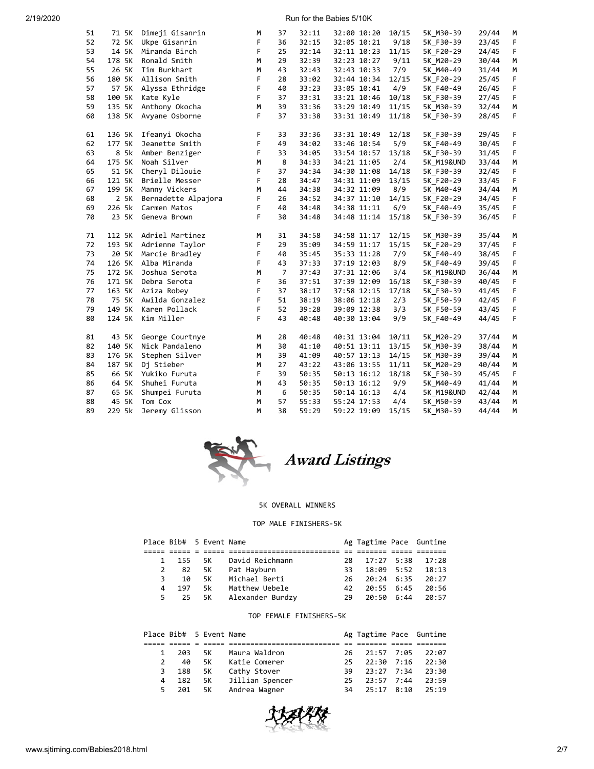2/19/2020 Run for the Babies 5/10K

| 51 | 71 5K  | Dimeji Gisanrin     | М  | 37             | 32:11 | 32:00 10:20 | 10/15 | 5K M30-39             | 29/44 | M           |
|----|--------|---------------------|----|----------------|-------|-------------|-------|-----------------------|-------|-------------|
| 52 |        | 72 5K Ukpe Gisanrin | F  | 36             | 32:15 | 32:05 10:21 | 9/18  | 5K F30-39             | 23/45 | F.          |
| 53 | 14 5K  | Miranda Birch       | F. | 25             | 32:14 | 32:11 10:23 | 11/15 | 5K_F20-29             | 24/45 | F.          |
| 54 | 178 5K | Ronald Smith        | M  | 29             | 32:39 | 32:23 10:27 | 9/11  | 5K M20-29             | 30/44 | M           |
| 55 | 26 5K  | Tim Burkhart        | M  | 43             | 32:43 | 32:43 10:33 | 7/9   | 5K_M40-49             | 31/44 | М           |
| 56 | 180 5K | Allison Smith       | F  | 28             | 33:02 | 32:44 10:34 | 12/15 | 5K F20-29             | 25/45 | F           |
| 57 | 57 5K  | Alyssa Ethridge     | F  | 40             | 33:23 | 33:05 10:41 | 4/9   | 5K_F40-49             | 26/45 | F           |
| 58 | 100 5K | Kate Kyle           | F. | 37             | 33:31 | 33:21 10:46 | 10/18 | 5K F30-39             | 27/45 | F           |
| 59 | 135 5K | Anthony Okocha      | M  | 39             | 33:36 | 33:29 10:49 | 11/15 | 5K M30-39             | 32/44 | M           |
| 60 | 138 5K | Avyane Osborne      | F. | 37             | 33:38 | 33:31 10:49 | 11/18 | 5K F30-39             | 28/45 | F.          |
| 61 | 136 5K | Ifeanyi Okocha      | F  | 33             | 33:36 | 33:31 10:49 | 12/18 | 5K F30-39             | 29/45 | F           |
| 62 | 177 5K | Jeanette Smith      | F  | 49             | 34:02 | 33:46 10:54 | 5/9   | 5K F40-49             | 30/45 | F           |
| 63 | 8 5k   | Amber Benziger      | F  | 33             | 34:05 | 33:54 10:57 | 13/18 | 5K F30-39             | 31/45 | F           |
| 64 | 175 5K | Noah Silver         | M  | 8              | 34:33 | 34:21 11:05 | 2/4   | <b>5K M19&amp;UND</b> | 33/44 | M           |
| 65 | 51 5K  | Cheryl Dilouie      | F  | 37             | 34:34 | 34:30 11:08 | 14/18 | 5K_F30-39             | 32/45 | $\mathsf F$ |
| 66 | 121 5K | Brielle Messer      | F  | 28             | 34:47 | 34:31 11:09 | 13/15 | 5K F20-29             | 33/45 | F           |
| 67 | 199 5K | Manny Vickers       | M  | 44             | 34:38 | 34:32 11:09 | 8/9   | 5K_M40-49             | 34/44 | M           |
| 68 | 2 5K   | Bernadette Alpajora | F  | 26             | 34:52 | 34:37 11:10 | 14/15 | 5K F20-29             | 34/45 | F           |
| 69 | 226 5k | Carmen Matos        | F  | 40             | 34:48 | 34:38 11:11 | 6/9   | 5K F40-49             | 35/45 | F           |
| 70 | 23 5K  | Geneva Brown        | F  | 30             | 34:48 | 34:48 11:14 | 15/18 | 5K F30-39             | 36/45 | F           |
| 71 | 112 5K | Adriel Martinez     | M  | 31             | 34:58 | 34:58 11:17 | 12/15 | 5K M30-39             | 35/44 | M           |
| 72 | 193 5K | Adrienne Taylor     | F  | 29             | 35:09 | 34:59 11:17 | 15/15 | 5K F20-29             | 37/45 | F           |
| 73 | 20 5K  | Marcie Bradley      | F  | 40             | 35:45 | 35:33 11:28 | 7/9   | 5K_F40-49             | 38/45 | F           |
| 74 | 126 5K | Alba Miranda        | F  | 43             | 37:33 | 37:19 12:03 | 8/9   | 5K F40-49             | 39/45 | F           |
| 75 | 172 5K | Joshua Serota       | M  | $\overline{7}$ | 37:43 | 37:31 12:06 | 3/4   | 5K_M19&UND            | 36/44 | M           |
| 76 | 171 5K | Debra Serota        | F  | 36             | 37:51 | 37:39 12:09 | 16/18 | 5K F30-39             | 40/45 | F           |
| 77 | 163 5K | Aziza Robey         | F  | 37             | 38:17 | 37:58 12:15 | 17/18 | 5K F30-39             | 41/45 | $\mathsf F$ |
| 78 | 75 5K  | Awilda Gonzalez     | F  | 51             | 38:19 | 38:06 12:18 | 2/3   | 5K_F50-59             | 42/45 | F           |
| 79 | 149 5K | Karen Pollack       | F  | 52             | 39:28 | 39:09 12:38 | 3/3   | 5K_F50-59             | 43/45 | F           |
| 80 | 124 5K | Kim Miller          | F  | 43             | 40:48 | 40:30 13:04 | 9/9   | 5K F40-49             | 44/45 | F           |
| 81 | 43 5K  | George Courtnye     | M  | 28             | 40:48 | 40:31 13:04 | 10/11 | 5K M20-29             | 37/44 | M           |
| 82 | 140 5K | Nick Pandaleno      | M  | 30             | 41:10 | 40:51 13:11 | 13/15 | 5K M30-39             | 38/44 | М           |
| 83 | 176 5K | Stephen Silver      | M  | 39             | 41:09 | 40:57 13:13 | 14/15 | 5K M30-39             | 39/44 | М           |
| 84 | 187 5K | Dj Stieber          | M  | 27             | 43:22 | 43:06 13:55 | 11/11 | 5K M20-29             | 40/44 | M           |
| 85 | 66 5K  | Yukiko Furuta       | F  | 39             | 50:35 | 50:13 16:12 | 18/18 | 5K F30-39             | 45/45 | F           |
| 86 | 64 5K  | Shuhei Furuta       | M  | 43             | 50:35 | 50:13 16:12 | 9/9   | 5K M40-49             | 41/44 | М           |
| 87 | 65 5K  | Shumpei Furuta      | M  | 6              | 50:35 | 50:14 16:13 | 4/4   | 5K M19&UND            | 42/44 | М           |
| 88 | 45 5K  | Tom Cox             | M  | 57             | 55:33 | 55:24 17:53 | 4/4   | 5K M50-59             | 43/44 | M           |
| 89 | 229 5k | Jeremy Glisson      | M  | 38             | 59:29 | 59:22 19:09 | 15/15 | 5K M30-39             | 44/44 | M           |



## 5K OVERALL WINNERS

## TOP MALE FINISHERS-5K

|              | Place Bib# 5 Event Name |           |                     |     | Ag Tagtime Pace Guntime |       |
|--------------|-------------------------|-----------|---------------------|-----|-------------------------|-------|
|              |                         |           |                     |     |                         |       |
| $\mathbf{1}$ | 155                     | <b>5K</b> | David Reichmann     | 28. | $17:27$ 5:38            | 17:28 |
| 2            | 82                      |           | 5K Pat Hayburn      | 33. | 18:09 5:52              | 18:13 |
| 3.           | 10                      | 5K        | Michael Berti       | 26. | 20:24 6:35              | 20:27 |
| 4            | 197                     | 5k.       | Matthew Uebele      | 42. | 20:55 6:45              | 20:56 |
| 5            | -25                     |           | 5K Alexander Burdzy | 29  | 20:50 6:44              | 20:57 |

## TOP FEMALE FINISHERS-5K

|               |     | Place Bib# 5 Event Name |                    |     | Ag Tagtime Pace Guntime |       |
|---------------|-----|-------------------------|--------------------|-----|-------------------------|-------|
|               |     |                         |                    |     |                         |       |
|               | 203 | 5K                      | Maura Waldron      | 26. | 21:57 7:05              | 22:07 |
| $\mathcal{P}$ | 40  | 5K - 1                  | Katie Comerer      | 25. | 22:30 7:16              | 22:30 |
| 3             | 188 | 5K                      | Cathy Stover       | 39. | 23:27 7:34              | 23:30 |
| 4             | 182 |                         | 5K Jillian Spencer | 25. | $23:57$ $7:44$          | 23:59 |
| 5.            | 201 | 5K                      | Andrea Wagner      | 34  | $25:17$ 8:10            | 75:19 |

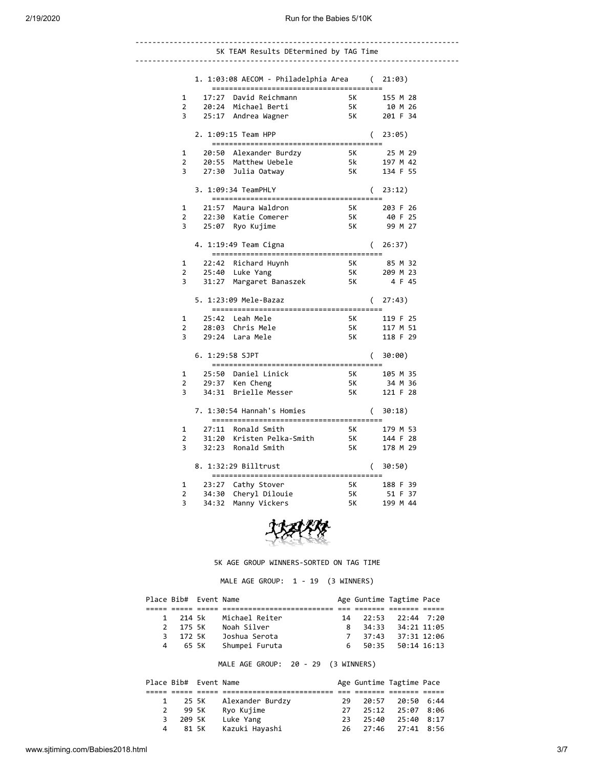|   | 5K TEAM Results DEtermined by TAG Time                               |                                                                                                                                                                                                                                     |          |                                                          |
|---|----------------------------------------------------------------------|-------------------------------------------------------------------------------------------------------------------------------------------------------------------------------------------------------------------------------------|----------|----------------------------------------------------------|
|   |                                                                      |                                                                                                                                                                                                                                     |          |                                                          |
|   | 1. 1:03:08 AECOM - Philadelphia Area (21:03)                         |                                                                                                                                                                                                                                     |          |                                                          |
| 1 | 17:27 David Reichmann                                                |                                                                                                                                                                                                                                     |          |                                                          |
| 2 | 20:24 Michael Berti                                                  | 5K 155 M 28<br>5K 10 M 26<br>5K 201 F 34                                                                                                                                                                                            |          |                                                          |
| 3 | 25:17 Andrea Wagner                                                  |                                                                                                                                                                                                                                     |          |                                                          |
|   | 2. 1:09:15 Team HPP                                                  |                                                                                                                                                                                                                                     | $\left($ | 23:05)                                                   |
| 1 | 20:50 Alexander Burdzy                                               |                                                                                                                                                                                                                                     |          | 5K 25 M 29                                               |
| 2 | 20:55 Matthew Uebele                                                 |                                                                                                                                                                                                                                     |          | 5k              197  M  42<br>5K              134  F  55 |
| 3 | 27:30 Julia Oatway                                                   |                                                                                                                                                                                                                                     |          |                                                          |
|   | 3. 1:09:34 TeamPHLY<br>--------------------------------------        |                                                                                                                                                                                                                                     |          | (23:12)                                                  |
| 1 | 21:57 Maura Waldron                                                  |                                                                                                                                                                                                                                     |          | 5K 203 F 26                                              |
| 2 | 22:30 Katie Comerer                                                  | $\frac{2}{5}$ K                                                                                                                                                                                                                     |          | 40 F 25                                                  |
| 3 | 25:07 Ryo Kujime                                                     | <b>5K</b>                                                                                                                                                                                                                           |          | 99 M 27                                                  |
|   | 4. 1:19:49 Team Cigna<br>--------------------------------------      |                                                                                                                                                                                                                                     |          | (26:37)                                                  |
| 1 |                                                                      |                                                                                                                                                                                                                                     |          | 85 M 32                                                  |
| 2 | 22:42 Richard Huynh<br>25:40 Luke Yang<br>25:40 Luke Yang            | 5K<br>5K                                                                                                                                                                                                                            |          | 209 M 23                                                 |
| 3 | 31:27 Margaret Banaszek 5K                                           |                                                                                                                                                                                                                                     |          | 4 F 45                                                   |
|   | 5. 1:23:09 Mele-Bazaz<br>--------------------------------------      |                                                                                                                                                                                                                                     |          | (27:43)                                                  |
| 1 | 25:42 Leah Mele                                                      |                                                                                                                                                                                                                                     |          | 5K 119 F 25                                              |
| 2 | 28:03 Chris Mele                                                     | 5K                                                                                                                                                                                                                                  |          | 117 M 51                                                 |
| 3 | 29:24 Lara Mele                                                      |                                                                                                                                                                                                                                     |          | 5K 118 F 29                                              |
|   | 6. 1:29:58 SJPT                                                      |                                                                                                                                                                                                                                     | $\left($ | 30:00)                                                   |
| 1 | 25:50 Daniel Linick                                                  | 5K and the set of the set of the set of the set of the set of the set of the set of the set of the set of the<br>Set of the set of the set of the set of the set of the set of the set of the set of the set of the set of the<br>S |          | 105 M 35                                                 |
| 2 | $29:37$ Ken Cheng                                                    | <b>5K</b>                                                                                                                                                                                                                           |          | 34 M 36                                                  |
| 3 | 34:31 Brielle Messer                                                 | 5K 11                                                                                                                                                                                                                               |          | 121 F 28                                                 |
|   | 7. 1:30:54 Hannah's Homies<br>-------------------------------------- |                                                                                                                                                                                                                                     |          | (30:18)                                                  |
| 1 | 27:11 Ronald Smith                                                   |                                                                                                                                                                                                                                     |          | 5K 179 M 53                                              |
| 2 | 31:20 Kristen Pelka-Smith 5K                                         |                                                                                                                                                                                                                                     |          | 144 F 28                                                 |
| 3 | 32:23 Ronald Smith                                                   | <b>5K</b>                                                                                                                                                                                                                           |          | 178 M 29                                                 |
|   | 8. 1:32:29 Billtrust                                                 |                                                                                                                                                                                                                                     |          | (30:50)                                                  |
| 1 | 23:27 Cathy Stover                                                   | 5K                                                                                                                                                                                                                                  |          | 188 F 39                                                 |
| 2 | 34:30 Cheryl Dilouie                                                 | 5K                                                                                                                                                                                                                                  |          | 51 F 37                                                  |
| 3 | 34:32 Manny Vickers                                                  | 5K                                                                                                                                                                                                                                  |          | 199 M 44                                                 |
|   |                                                                      |                                                                                                                                                                                                                                     |          |                                                          |



5K AGE GROUP WINNERS-SORTED ON TAG TIME

MALE AGE GROUP: 1 - 19 (3 WINNERS)

|               |          | Place Bib# Event Name |                |     | Age Guntime Tagtime Pace |                   |  |
|---------------|----------|-----------------------|----------------|-----|--------------------------|-------------------|--|
|               |          |                       |                |     |                          |                   |  |
|               | 1 214 5k |                       | Michael Reiter | 14  | 22:53                    | 22:44 7:20        |  |
| $\mathcal{P}$ | 175 SK   |                       | Noah Silver    | 8   |                          | 34:33 34:21 11:05 |  |
| 3.            | 172 5K   |                       | Joshua Serota  |     | 37:43                    | 37:31 12:06       |  |
| 4             | 65 SK    |                       | Shumpei Furuta | რ — |                          | 50:35 50:14 16:13 |  |

MALE AGE GROUP: 20 - 29 (3 WINNERS)

|   |         | Place Bib# Event Name |                  |     | Age Guntime Tagtime Pace |                  |  |
|---|---------|-----------------------|------------------|-----|--------------------------|------------------|--|
|   |         |                       |                  |     |                          |                  |  |
|   | 25 SK   |                       | Alexander Burdzy | 29  |                          | 20:57 20:50 6:44 |  |
| 2 | 99 5K   |                       | Ryo Kujime       | 27  |                          | 25:12 25:07 8:06 |  |
| 3 | 209 SK  |                       | Luke Yang        | 23. | 25:40                    | 25:40 8:17       |  |
|   | 4 81 5K |                       | Kazuki Hayashi   | 26. |                          | 27:46 27:41 8:56 |  |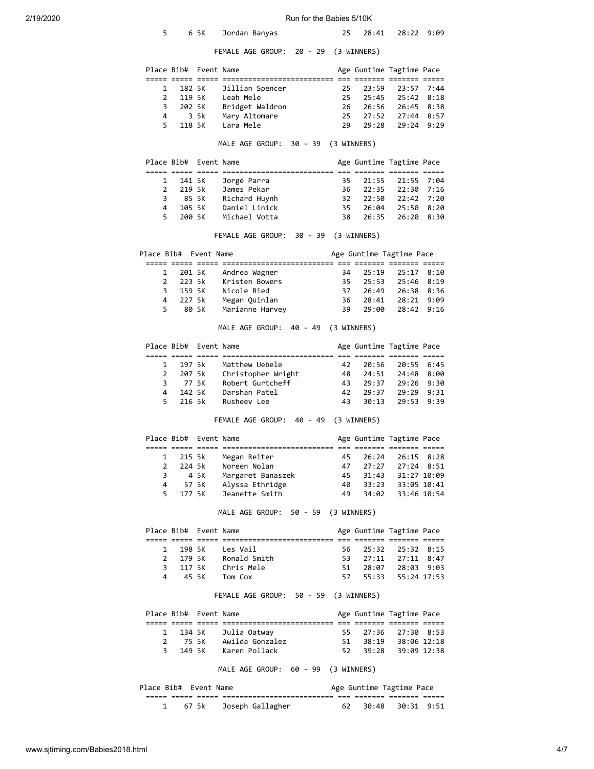| 2/19/2020 | Run for the Babies 5/10K |                       |            |                                                                         |             |                |                          |              |  |  |  |  |
|-----------|--------------------------|-----------------------|------------|-------------------------------------------------------------------------|-------------|----------------|--------------------------|--------------|--|--|--|--|
|           | 5                        |                       | 6 5K       | Jordan Banyas                                                           | 25          | 28:41          |                          | 28:22 9:09   |  |  |  |  |
|           |                          |                       |            | FEMALE AGE GROUP: 20 - 29                                               |             | (3 WINNERS)    |                          |              |  |  |  |  |
|           |                          | Place Bib# Event Name |            |                                                                         |             |                | Age Guntime Tagtime Pace |              |  |  |  |  |
|           | 1                        | 182 5K                |            | Jillian Spencer                                                         | 25          | 23:59          |                          | 23:57 7:44   |  |  |  |  |
|           | $\overline{2}$           | 119 5K                |            | Leah Mele                                                               | 25          | 25:45          | 25:42                    | 8:18         |  |  |  |  |
|           | 3                        | 202 5K                |            | Bridget Waldron                                                         | 26          | 26:56          | 26:45                    | 8:38         |  |  |  |  |
|           | 4                        |                       | 3 5k       | Mary Altomare                                                           | 25          | 27:52          |                          | 27:44 8:57   |  |  |  |  |
|           | 5                        | 118 5K                |            | Lara Mele                                                               | 29          | 29:28          |                          | 29:24 9:29   |  |  |  |  |
|           |                          |                       |            | MALE AGE GROUP:<br>30 - 39 (3 WINNERS)                                  |             |                |                          |              |  |  |  |  |
|           |                          | Place Bib# Event Name |            | <u> 2008 2008 2008 2008101010101010101010101 200 200910 200910 2009</u> |             |                | Age Guntime Tagtime Pace |              |  |  |  |  |
|           | 1                        | 141 5K                |            | Jorge Parra                                                             | 35          | 21:55          | 21:55                    | 7:04         |  |  |  |  |
|           | $\overline{2}$           | 219 5k                |            | James Pekar                                                             | 36          | 22:35          | 22:30 7:16               |              |  |  |  |  |
|           | 3                        |                       | 85 5K      | Richard Huynh                                                           | 32          | 22:50          |                          | 22:42 7:20   |  |  |  |  |
|           | 4<br>5                   | 105 5K<br>200 5K      |            | Daniel Linick<br>Michael Votta                                          | 35<br>38    | 26:04<br>26:35 | 25:50 8:20               | 26:20 8:30   |  |  |  |  |
|           |                          |                       |            | FEMALE AGE GROUP:<br>30 - 39 (3 WINNERS)                                |             |                |                          |              |  |  |  |  |
|           | Place Bib# Event Name    |                       |            |                                                                         |             |                | Age Guntime Tagtime Pace |              |  |  |  |  |
|           |                          |                       |            |                                                                         |             |                |                          |              |  |  |  |  |
|           | 1<br>2                   | 201 5K<br>223 5k      |            | Andrea Wagner<br>Kristen Bowers                                         | 34<br>35    | 25:19<br>25:53 | 25:17 8:10               | 25:46 8:19   |  |  |  |  |
|           | 3                        | 159 5K                |            | Nicole Ried                                                             | 37          | 26:49          |                          | 26:38 8:36   |  |  |  |  |
|           | 4                        | 227 5k                |            | Megan Quinlan                                                           | 36          | 28:41          | 28:21                    | 9:09         |  |  |  |  |
|           | 5                        |                       | 80 5K      | Marianne Harvey                                                         | 39          | 29:00          | 28:42 9:16               |              |  |  |  |  |
|           |                          |                       |            | MALE AGE GROUP: 40 - 49                                                 | (3 WINNERS) |                |                          |              |  |  |  |  |
|           |                          | Place Bib# Event Name |            |                                                                         |             |                | Age Guntime Tagtime Pace |              |  |  |  |  |
|           | 1                        | 197 5k                |            | Matthew Uebele                                                          | 42          | 20:56          | 20:55 6:45               |              |  |  |  |  |
|           | $\overline{2}$           | 207 5k                |            | Christopher Wright                                                      | 48          | 24:51          | 24:48 8:00               |              |  |  |  |  |
|           | 3                        |                       | 77 5K      | Robert Gurtcheff                                                        | 43          | 29:37          | 29:26 9:30               |              |  |  |  |  |
|           | 4                        | 142 5K                |            | Darshan Patel                                                           | 42          | 29:37          | 29:29                    | 9:31         |  |  |  |  |
|           | 5                        | 216 5k                |            | Rusheev Lee                                                             | 43          | 30:13          | 29:53 9:39               |              |  |  |  |  |
|           |                          |                       |            | 40 - 49<br>FEMALE AGE GROUP:                                            |             | (3 WINNERS)    |                          |              |  |  |  |  |
|           | Place Bib#               |                       | Event Name | <u> 2008 2008 2008 2008101010101010101010101 200 200910 200910 2009</u> |             |                | Age Guntime Tagtime Pace |              |  |  |  |  |
|           | 1                        | 215 5k                |            | Megan Reiter                                                            | 45          | 26:24          |                          | 26:15 8:28   |  |  |  |  |
|           | $\overline{2}$           |                       | 224 5k     | Noreen Nolan                                                            | 47          | 27:27          |                          | 27:24 8:51   |  |  |  |  |
|           | 3                        |                       | 4 5K       | Margaret Banaszek                                                       | 45          | 31:43          |                          | 31:27 10:09  |  |  |  |  |
|           | 4                        |                       | 57 5K      | Alyssa Ethridge                                                         | 40          | 33:23          |                          | 33:05 10:41  |  |  |  |  |
|           | 5                        | 177 5K                |            | Jeanette Smith                                                          | 49          | 34:02          |                          | 33:46 10:54  |  |  |  |  |
|           |                          |                       |            | MALE AGE GROUP: 50 - 59 (3 WINNERS)                                     |             |                |                          |              |  |  |  |  |
|           |                          | Place Bib# Event Name |            |                                                                         |             |                | Age Guntime Tagtime Pace |              |  |  |  |  |
|           | $\mathbf{1}$             | 198 5K                |            | Les Vail                                                                | 56          | 25:32          | 25:32 8:15               |              |  |  |  |  |
|           | $\overline{2}$           | 179 5K                |            | Ronald Smith                                                            | 53          | 27:11          |                          | $27:11$ 8:47 |  |  |  |  |
|           | 3                        | 117 5K                |            | Chris Mele                                                              | 51          | 28:07          |                          | 28:03 9:03   |  |  |  |  |
|           | 4                        |                       | 45 SK      | Tom Cox                                                                 | 57          | 55:33          |                          | 55:24 17:53  |  |  |  |  |
|           |                          |                       |            | FEMALE AGE GROUP: 50 - 59 (3 WINNERS)                                   |             |                |                          |              |  |  |  |  |
|           |                          | Place Bib# Event Name |            |                                                                         |             |                | Age Guntime Tagtime Pace |              |  |  |  |  |
|           | $\mathbf{1}$             | 134 5K                |            | Julia Oatway                                                            | 55          | 27:36          | 27:30 8:53               |              |  |  |  |  |
|           | $\overline{2}$           |                       | 75 5K      | Awilda Gonzalez                                                         | 51          | 38:19          |                          | 38:06 12:18  |  |  |  |  |
|           | 3                        | 149 5K                |            | Karen Pollack                                                           | 52          | 39:28          |                          | 39:09 12:38  |  |  |  |  |
|           |                          |                       |            | MALE AGE GROUP: 60 - 99 (3 WINNERS)                                     |             |                |                          |              |  |  |  |  |

| Place Bib# Event Name<br>Age Guntime Tagtime Pace |  |  |                        |    |  |                  |  |  |
|---------------------------------------------------|--|--|------------------------|----|--|------------------|--|--|
|                                                   |  |  |                        |    |  |                  |  |  |
|                                                   |  |  | 67 5k Joseph Gallagher | 62 |  | 30:48 30:31 9:51 |  |  |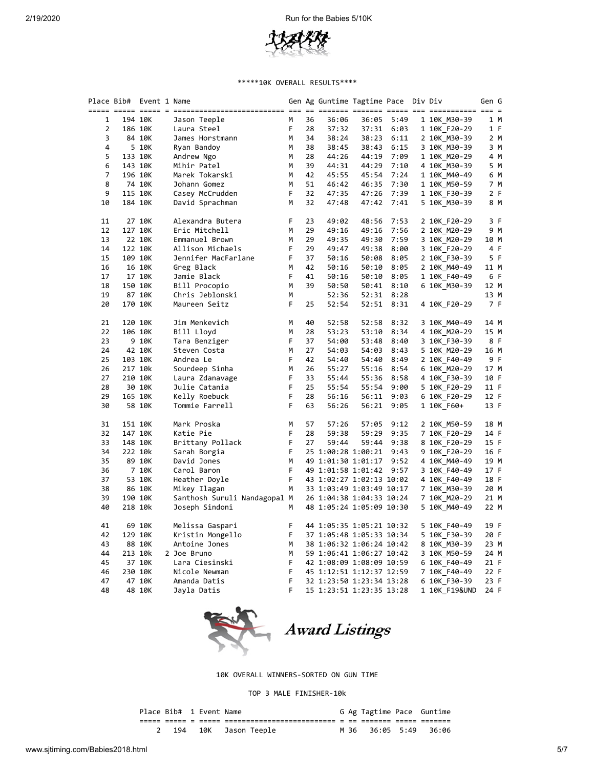

### \*\*\*\*\*10K OVERALL RESULTS\*\*\*\*

| Place Bib# | Event 1 Name |                              |   |    | Gen Ag Guntime Tagtime Pace  Div Div |       |      |              | Gen G |     |
|------------|--------------|------------------------------|---|----|--------------------------------------|-------|------|--------------|-------|-----|
|            |              |                              |   |    |                                      |       |      |              |       |     |
| 1          | 194 10K      | Jason Teeple                 | м | 36 | 36:06                                | 36:05 | 5:49 | 1 10K M30-39 |       | 1 M |
| 2          | 186 10K      | Laura Steel                  | F | 28 | 37:32                                | 37:31 | 6:03 | 1 10K F20-29 |       | 1 F |
| 3          | 84 10K       | James Horstmann              | М | 34 | 38:24                                | 38:23 | 6:11 | 2 10K M30-39 |       | 2 M |
| 4          | 5 10K        | Ryan Bandoy                  | M | 38 | 38:45                                | 38:43 | 6:15 | 3 10K M30-39 |       | 3 M |
| 5          | 133 10K      | Andrew Ngo                   | М | 28 | 44:26                                | 44:19 | 7:09 | 1 10K M20-29 |       | 4 M |
| 6          | 143 10K      | Mihir Patel                  | м | 39 | 44:31                                | 44:29 | 7:10 | 4 10K M30-39 |       | 5 M |
| 7          | 196 10K      | Marek Tokarski               | М | 42 | 45:55                                | 45:54 | 7:24 | 1 10K M40-49 |       | 6 M |
| 8          | 74 10K       | Johann Gomez                 | М | 51 | 46:42                                | 46:35 | 7:30 | 1 10K M50-59 |       | 7 M |
| 9          | 115 10K      | Casey McCrudden              | F | 32 | 47:35                                | 47:26 | 7:39 | 1 10K F30-39 |       | 2 F |
| 10         | 184 10K      | David Sprachman              | М | 32 | 47:48                                | 47:42 | 7:41 | 5 10K M30-39 |       | 8 M |
| 11         | 27 10K       | Alexandra Butera             | F | 23 | 49:02                                | 48:56 | 7:53 | 2 10K F20-29 |       | 3 F |
| 12         | 127 10K      | Eric Mitchell                | М | 29 | 49:16                                | 49:16 | 7:56 | 2 10K_M20-29 |       | 9 M |
| 13         | 22 10K       | Emmanuel Brown               | М | 29 | 49:35                                | 49:30 | 7:59 | 3 10K M20-29 | 10 M  |     |
| 14         | 122 10K      | Allison Michaels             | F | 29 | 49:47                                | 49:38 | 8:00 | 3 10K_F20-29 |       | 4 F |
| 15         | 109 10K      | Jennifer MacFarlane          | F | 37 | 50:16                                | 50:08 | 8:05 | 2 10K F30-39 |       | 5 F |
| 16         | 16 10K       | Greg Black                   | М | 42 | 50:16                                | 50:10 | 8:05 | 2 10K M40-49 | 11 M  |     |
| 17         | 17 10K       | Jamie Black                  | F | 41 | 50:16                                | 50:10 | 8:05 | 1 10K F40-49 |       | 6 F |
| 18         | 150 10K      | Bill Procopio                | М | 39 | 50:50                                | 50:41 | 8:10 | 6 10K M30-39 | 12 M  |     |
| 19         | 87 10K       | Chris Jeblonski              | М |    | 52:36                                | 52:31 | 8:28 |              | 13 M  |     |
| 20         | 170 10K      | Maureen Seitz                | F | 25 | 52:54                                | 52:51 | 8:31 | 4 10K F20-29 |       | 7 F |
| 21         | 120 10K      | Jim Menkevich                | М | 40 | 52:58                                | 52:58 | 8:32 | 3 10K M40-49 | 14 M  |     |
| 22         | 106 10K      | Bill Lloyd                   | М | 28 | 53:23                                | 53:10 | 8:34 | 4 10K M20-29 | 15 M  |     |
| 23         | 9 10K        | Tara Benziger                | F | 37 | 54:00                                | 53:48 | 8:40 | 3 10K F30-39 |       | 8 F |
| 24         | 42 10K       | Steven Costa                 | М | 27 | 54:03                                | 54:03 | 8:43 | 5 10K M20-29 | 16 M  |     |
| 25         | 103 10K      | Andrea Le                    | F | 42 | 54:40                                | 54:40 | 8:49 | 2 10K F40-49 |       | 9 F |
| 26         | 217 10k      | Sourdeep Sinha               | M | 26 | 55:27                                | 55:16 | 8:54 | 6 10K M20-29 | 17 M  |     |
| 27         | 210 10K      | Laura Zdanavage              | F | 33 | 55:44                                | 55:36 | 8:58 | 4 10K F30-39 | 10 F  |     |
| 28         | 30 10K       | Julie Catania                | F | 25 | 55:54                                | 55:54 | 9:00 | 5 10K F20-29 | 11 F  |     |
| 29         | 165 10K      | Kelly Roebuck                | F | 28 | 56:16                                | 56:11 | 9:03 | 6 10K F20-29 | 12 F  |     |
| 30         | 58 10K       | Tommie Farrell               | F | 63 | 56:26                                | 56:21 | 9:05 | 1 10K F60+   | 13 F  |     |
| 31         | 151 10K      | Mark Proska                  | М | 57 | 57:26                                | 57:05 | 9:12 | 2 10K M50-59 | 18 M  |     |
| 32         | 147 10K      | Katie Pie                    | F | 28 | 59:38                                | 59:29 | 9:35 | 7 10K F20-29 | 14 F  |     |
| 33         | 148 10K      | Brittany Pollack             | F | 27 | 59:44                                | 59:44 | 9:38 | 8 10K F20-29 | 15 F  |     |
| 34         | 222 10k      | Sarah Borgia                 | F |    | 25 1:00:28 1:00:21                   |       | 9:43 | 9 10K F20-29 | 16 F  |     |
| 35         | 89 10K       | David Jones                  | M |    | 49 1:01:30 1:01:17                   |       | 9:52 | 4 10K M40-49 | 19 M  |     |
| 36         | 7 10K        | Carol Baron                  | F |    | 49 1:01:58 1:01:42                   |       | 9:57 | 3 10K_F40-49 | 17 F  |     |
| 37         | 53 10K       | Heather Doyle                | F |    | 43 1:02:27 1:02:13 10:02             |       |      | 4 10K F40-49 | 18 F  |     |
| 38         | 86 10K       | Mikey Ilagan                 | М |    | 33 1:03:49 1:03:49 10:17             |       |      | 7 10K_M30-39 | 20 M  |     |
| 39         | 190 10K      | Santhosh Suruli Nandagopal M |   |    | 26 1:04:38 1:04:33 10:24             |       |      | 7 10K M20-29 | 21 M  |     |
| 40         | 218 10k      | Joseph Sindoni               | М |    | 48 1:05:24 1:05:09 10:30             |       |      | 5 10K M40-49 | 22 M  |     |
| 41         | 69 10K       | Melissa Gaspari              | F |    | 44 1:05:35 1:05:21 10:32             |       |      | 5 10K F40-49 | 19 F  |     |
| 42         | 129 10K      | Kristin Mongello             | F |    | 37 1:05:48 1:05:33 10:34             |       |      | 5 10K F30-39 | 20 F  |     |
| 43         | 88 10K       | Antoine Jones                | M |    | 38 1:06:32 1:06:24 10:42             |       |      | 8 10K M30-39 | 23 M  |     |
| 44         | 213 10k      | 2 Joe Bruno                  | М |    | 59 1:06:41 1:06:27 10:42             |       |      | 3 10K M50-59 | 24 M  |     |
| 45         | 37 10K       | Lara Ciesinski               | F |    | 42 1:08:09 1:08:09 10:59             |       |      | 6 10K F40-49 | 21 F  |     |
| 46         | 230 10K      | Nicole Newman                | F |    | 45 1:12:51 1:12:37 12:59             |       |      | 7 10K_F40-49 | 22 F  |     |
| 47         | 47 10K       | Amanda Datis                 | F |    | 32 1:23:50 1:23:34 13:28             |       |      | 6 10K F30-39 | 23 F  |     |
| 48         | 48 10K       | Jayla Datis                  | F |    | 15 1:23:51 1:23:35 13:28             |       |      |              | 24 F  |     |



Award Listings

10K OVERALL WINNERS-SORTED ON GUN TIME

TOP 3 MALE FINISHER-10k

| Place Bib# 1 Event Name |  |                        |  |  | G Ag Tagtime Pace Guntime |
|-------------------------|--|------------------------|--|--|---------------------------|
|                         |  |                        |  |  |                           |
|                         |  | 2 194 10K Jason Teeple |  |  | M 36 36:05 5:49 36:06     |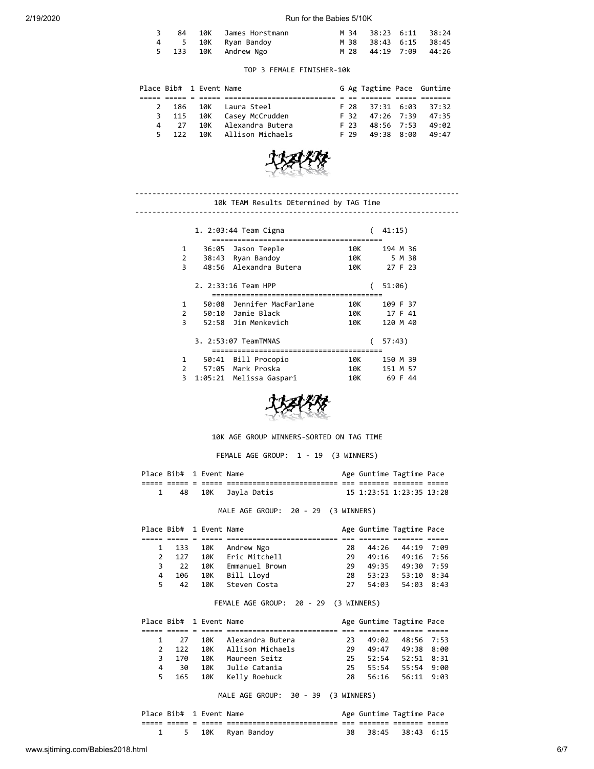### 2/19/2020 Run for the Babies 5/10K

|  | 84 10K James Horstmann |  | M 34 38:23 6:11 38:24 |
|--|------------------------|--|-----------------------|
|  | 4 5 10K Ryan Bandoy    |  | M 38 38:43 6:15 38:45 |
|  | 5 133 10K Andrew Ngo   |  | M 28 44:19 7:09 44:26 |

### TOP 3 FEMALE FINISHER-10k

|  |      | Place Bib# 1 Event Name |                            |  | G Ag Tagtime Pace Guntime |  |  |
|--|------|-------------------------|----------------------------|--|---------------------------|--|--|
|  |      |                         |                            |  |                           |  |  |
|  |      |                         | 2 186 10K Laura Steel      |  | F 28 37:31 6:03 37:32     |  |  |
|  |      |                         | 3 115 10K Casey McCrudden  |  | F 32 47:26 7:39 47:35     |  |  |
|  | 4 27 |                         | 10K Alexandra Butera       |  | F 23 48:56 7:53 49:02     |  |  |
|  |      |                         | 5 122 10K Allison Michaels |  | $F$ 29 49:38 8:00 49:47   |  |  |



#### ---------------------------------------------------------------------------- 10k TEAM Results DEtermined by TAG Time ----------------------------------------------------------------------------

|                | 41:15)<br>1. 2:03:44 Team Cigna |                         |     |  |             |  |  |  |  |  |  |  |
|----------------|---------------------------------|-------------------------|-----|--|-------------|--|--|--|--|--|--|--|
| 1              | 36:05                           | Jason Teeple            | 10K |  | 194 M 36    |  |  |  |  |  |  |  |
| $\overline{2}$ | 38:43                           | Ryan Bandoy             | 10K |  | 5 M 38      |  |  |  |  |  |  |  |
| 3              |                                 | 48:56 Alexandra Butera  | 10K |  | 27 F 23     |  |  |  |  |  |  |  |
|                |                                 | 2. 2:33:16 Team HPP     |     |  | 51:06)      |  |  |  |  |  |  |  |
|                |                                 |                         |     |  |             |  |  |  |  |  |  |  |
| 1              | 50:08                           | Jennifer MacFarlane     | 10K |  | 109 F 37    |  |  |  |  |  |  |  |
| 2              |                                 | 50:10 Jamie Black       | 10K |  | 17 F 41     |  |  |  |  |  |  |  |
| ξ              |                                 | 52:58 Jim Menkevich     | 10K |  | 120 M 40    |  |  |  |  |  |  |  |
|                |                                 | 3. 2:53:07 TeamTMNAS    |     |  | 57:43)      |  |  |  |  |  |  |  |
| 1              | 50:41                           | Bill Procopio           | 10K |  | 150 M 39    |  |  |  |  |  |  |  |
| 2              | 57:05                           | Mark Proska             | 10K |  | 151 M 57    |  |  |  |  |  |  |  |
| 3              |                                 | 1:05:21 Melissa Gaspari | 10K |  | 69 F<br>-44 |  |  |  |  |  |  |  |



## 10K AGE GROUP WINNERS-SORTED ON TAG TIME

FEMALE AGE GROUP: 1 - 19 (3 WINNERS)

| Place Bib# 1 Event Name |  |                    | Age Guntime Tagtime Pace |  |  |
|-------------------------|--|--------------------|--------------------------|--|--|
|                         |  |                    |                          |  |  |
|                         |  | 48 10K Jayla Datis | 15 1:23:51 1:23:35 13:28 |  |  |

MALE AGE GROUP: 20 - 29 (3 WINNERS)

|   |       | Place Bib# 1 Event Name |                      |     | Age Guntime Tagtime Pace |  |
|---|-------|-------------------------|----------------------|-----|--------------------------|--|
|   |       |                         |                      |     |                          |  |
|   |       |                         | 1 133 10K Andrew Ngo | 28. | 44:26 44:19 7:09         |  |
|   | 2 127 |                         | 10K Eric Mitchell    | 29. | 49:16 49:16 7:56         |  |
| 3 | 22    |                         | 10K Emmanuel Brown   | 29. | 49:35 49:30 7:59         |  |
| 4 | 106   |                         | 10K Bill Lloyd       | 28. | 53:23 53:10 8:34         |  |
|   | 5 42  |                         | 10K Steven Costa     | 27  | 54:03 54:03 8:43         |  |

## FEMALE AGE GROUP: 20 - 29 (3 WINNERS)

|   |       | Place Bib# 1 Event Name |                      |     | Age Guntime Tagtime Pace |  |
|---|-------|-------------------------|----------------------|-----|--------------------------|--|
|   |       |                         |                      |     |                          |  |
|   | 1 27  |                         | 10K Alexandra Butera | 23. | 49:02 48:56 7:53         |  |
|   | 2 122 |                         | 10K Allison Michaels | 29. | 49:47 49:38 8:00         |  |
| 3 | 170   |                         | 10K - Maureen Seitz  |     | 25 52:54 52:51 8:31      |  |
| 4 | - 30  |                         | 10K – Julie Catania  |     | 25 55:54 55:54 9:00      |  |
| 5 |       | 165 10K                 | Kelly Roebuck        |     | 28 56:16 56:11 9:03      |  |

MALE AGE GROUP: 30 - 39 (3 WINNERS)

| Place Bib# 1 Event Name |  |                     |     | Age Guntime Tagtime Pace |  |  |
|-------------------------|--|---------------------|-----|--------------------------|--|--|
|                         |  |                     | ___ |                          |  |  |
|                         |  | 1 5 10K Ryan Bandoy |     | 38 38:45 38:43 6:15      |  |  |